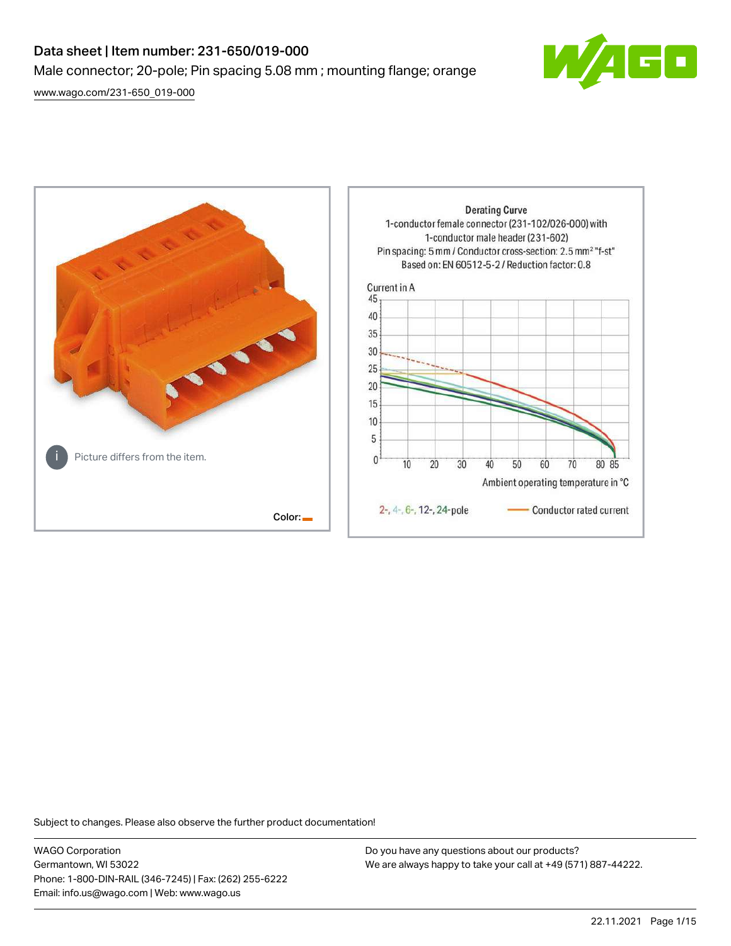# Data sheet | Item number: 231-650/019-000 Male connector; 20-pole; Pin spacing 5.08 mm ; mounting flange; orange

[www.wago.com/231-650\\_019-000](http://www.wago.com/231-650_019-000)





Subject to changes. Please also observe the further product documentation!

WAGO Corporation Germantown, WI 53022 Phone: 1-800-DIN-RAIL (346-7245) | Fax: (262) 255-6222 Email: info.us@wago.com | Web: www.wago.us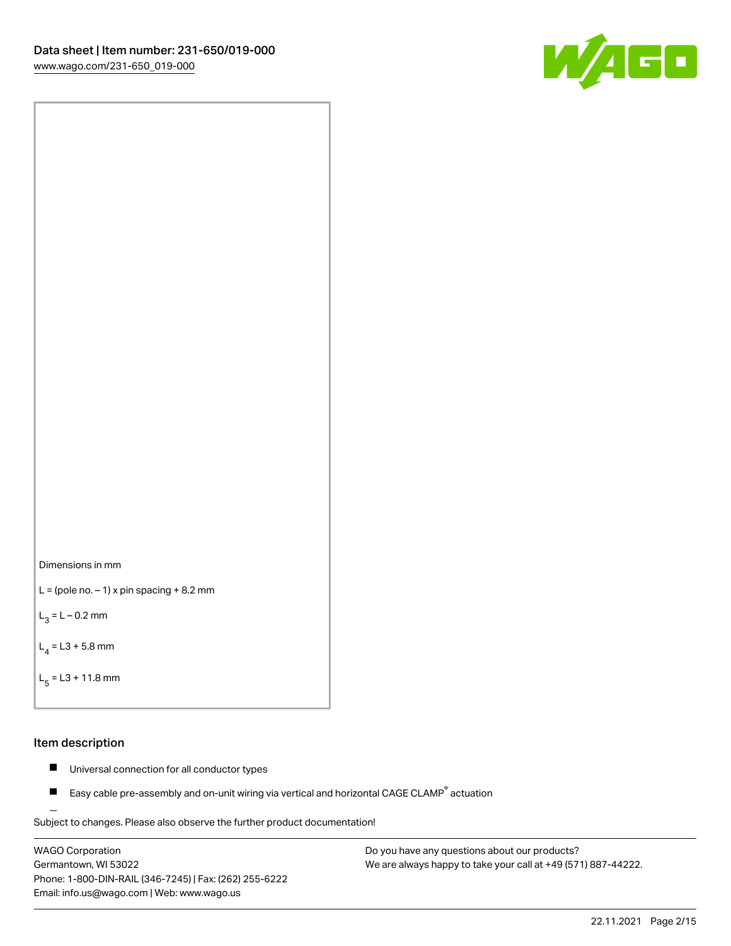



```
L = (pole no. -1) x pin spacing +8.2 mm
```
 $L_3 = L - 0.2$  mm

```
L_4 = L3 + 5.8 mm
```

```
L_{\rm g} = L3 + 11.8 mm
```
#### Item description

- $\blacksquare$ Universal connection for all conductor types
- Easy cable pre-assembly and on-unit wiring via vertical and horizontal CAGE CLAMP<sup>®</sup> actuation  $\blacksquare$

Subject to changes. Please also observe the further product documentation! For wire-to-wire and board-to-wire connections

WAGO Corporation Germantown, WI 53022 Phone: 1-800-DIN-RAIL (346-7245) | Fax: (262) 255-6222 Email: info.us@wago.com | Web: www.wago.us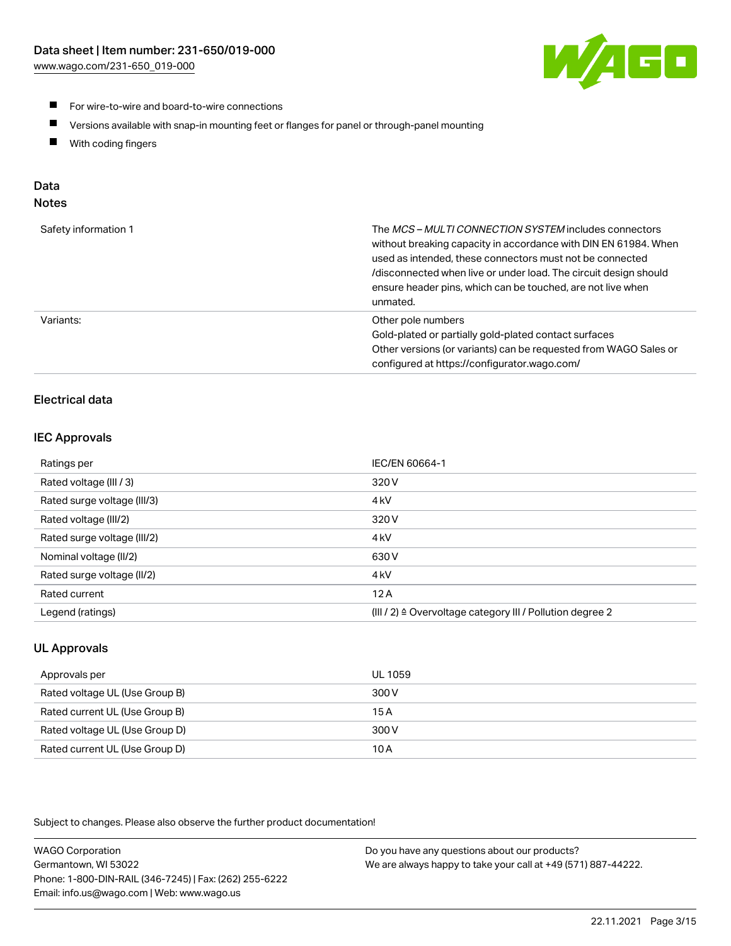

- For wire-to-wire and board-to-wire connections
- $\blacksquare$ Versions available with snap-in mounting feet or flanges for panel or through-panel mounting
- $\blacksquare$ With coding fingers

# Data

## Notes

| Safety information 1 | The MCS-MULTI CONNECTION SYSTEM includes connectors<br>without breaking capacity in accordance with DIN EN 61984. When<br>used as intended, these connectors must not be connected<br>/disconnected when live or under load. The circuit design should<br>ensure header pins, which can be touched, are not live when<br>unmated. |
|----------------------|-----------------------------------------------------------------------------------------------------------------------------------------------------------------------------------------------------------------------------------------------------------------------------------------------------------------------------------|
| Variants:            | Other pole numbers<br>Gold-plated or partially gold-plated contact surfaces<br>Other versions (or variants) can be requested from WAGO Sales or<br>configured at https://configurator.wago.com/                                                                                                                                   |

# Electrical data

## IEC Approvals

| Ratings per                 | IEC/EN 60664-1                                                        |
|-----------------------------|-----------------------------------------------------------------------|
| Rated voltage (III / 3)     | 320 V                                                                 |
| Rated surge voltage (III/3) | 4 <sub>k</sub> V                                                      |
| Rated voltage (III/2)       | 320 V                                                                 |
| Rated surge voltage (III/2) | 4 <sub>k</sub> V                                                      |
| Nominal voltage (II/2)      | 630 V                                                                 |
| Rated surge voltage (II/2)  | 4 <sub>k</sub> V                                                      |
| Rated current               | 12A                                                                   |
| Legend (ratings)            | $(III / 2)$ $\triangle$ Overvoltage category III / Pollution degree 2 |

# UL Approvals

| Approvals per                  | UL 1059 |
|--------------------------------|---------|
| Rated voltage UL (Use Group B) | 300 V   |
| Rated current UL (Use Group B) | 15 A    |
| Rated voltage UL (Use Group D) | 300 V   |
| Rated current UL (Use Group D) | 10 A    |

Subject to changes. Please also observe the further product documentation!

| <b>WAGO Corporation</b>                                | Do you have any questions about our products?                 |
|--------------------------------------------------------|---------------------------------------------------------------|
| Germantown, WI 53022                                   | We are always happy to take your call at +49 (571) 887-44222. |
| Phone: 1-800-DIN-RAIL (346-7245)   Fax: (262) 255-6222 |                                                               |
| Email: info.us@wago.com   Web: www.wago.us             |                                                               |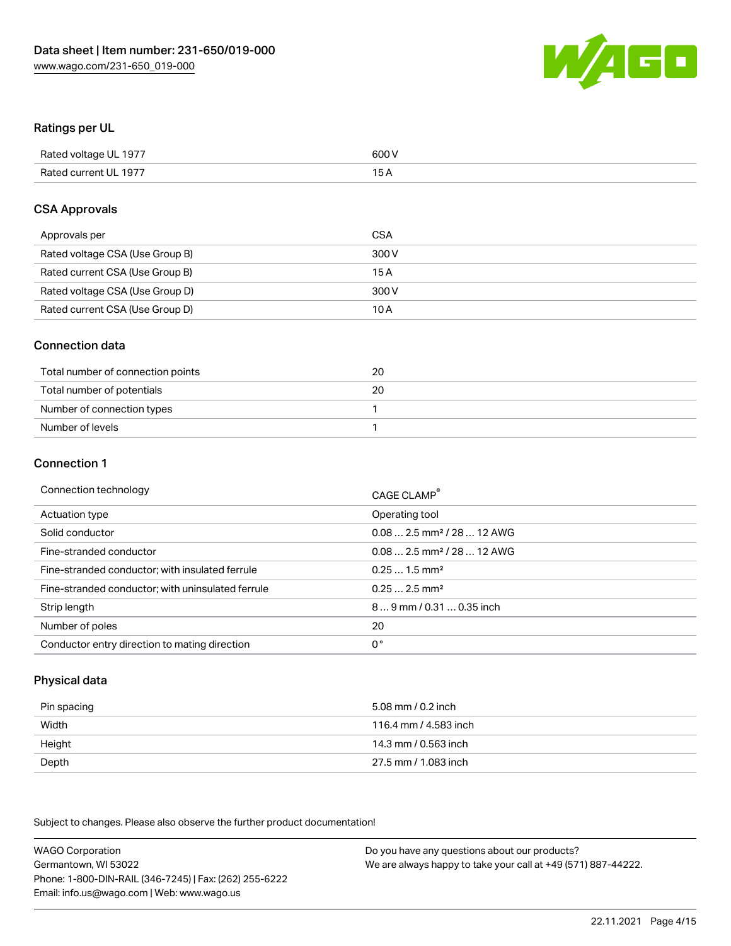

#### Ratings per UL

| Rated voltage UL 1977 | 600 V |
|-----------------------|-------|
| Rated current UL 1977 |       |

#### CSA Approvals

| Approvals per                   | CSA   |
|---------------------------------|-------|
| Rated voltage CSA (Use Group B) | 300 V |
| Rated current CSA (Use Group B) | 15 A  |
| Rated voltage CSA (Use Group D) | 300 V |
| Rated current CSA (Use Group D) | 10 A  |

#### Connection data

| Total number of connection points | 20 |
|-----------------------------------|----|
| Total number of potentials        | 20 |
| Number of connection types        |    |
| Number of levels                  |    |

#### Connection 1

| Connection technology                             | CAGE CLAMP <sup>®</sup>                |
|---------------------------------------------------|----------------------------------------|
| Actuation type                                    | Operating tool                         |
| Solid conductor                                   | $0.082.5$ mm <sup>2</sup> / 28  12 AWG |
| Fine-stranded conductor                           | $0.082.5$ mm <sup>2</sup> / 28  12 AWG |
| Fine-stranded conductor; with insulated ferrule   | $0.251.5$ mm <sup>2</sup>              |
| Fine-stranded conductor; with uninsulated ferrule | $0.252.5$ mm <sup>2</sup>              |
| Strip length                                      | 89 mm / 0.31  0.35 inch                |
| Number of poles                                   | 20                                     |
| Conductor entry direction to mating direction     | 0°                                     |

## Physical data

| Pin spacing | 5.08 mm / 0.2 inch    |
|-------------|-----------------------|
| Width       | 116.4 mm / 4.583 inch |
| Height      | 14.3 mm / 0.563 inch  |
| Depth       | 27.5 mm / 1.083 inch  |

Subject to changes. Please also observe the further product documentation!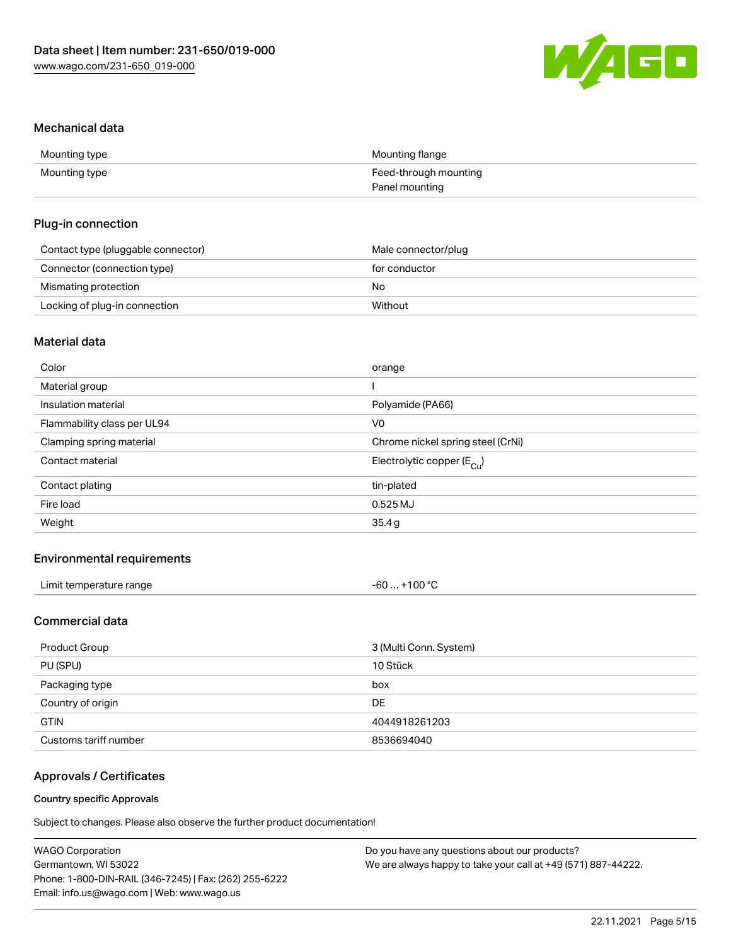

#### Mechanical data

| Mounting type | Mounting flange       |
|---------------|-----------------------|
| Mounting type | Feed-through mounting |
|               | Panel mounting        |

#### Plug-in connection

| Contact type (pluggable connector) | Male connector/plug |
|------------------------------------|---------------------|
| Connector (connection type)        | for conductor       |
| Mismating protection               | No                  |
| Locking of plug-in connection      | Without             |

# Material data

| Color                       | orange                                |
|-----------------------------|---------------------------------------|
| Material group              |                                       |
| Insulation material         | Polyamide (PA66)                      |
| Flammability class per UL94 | V <sub>0</sub>                        |
| Clamping spring material    | Chrome nickel spring steel (CrNi)     |
| Contact material            | Electrolytic copper $(E_{\text{Cl}})$ |
| Contact plating             | tin-plated                            |
| Fire load                   | $0.525$ MJ                            |
| Weight                      | 35.4g                                 |
|                             |                                       |

## Environmental requirements

| Limit temperature range<br>. | +100 °C<br>-60 … |
|------------------------------|------------------|
|------------------------------|------------------|

## Commercial data

| Product Group         | 3 (Multi Conn. System) |
|-----------------------|------------------------|
| PU (SPU)              | 10 Stück               |
| Packaging type        | box                    |
| Country of origin     | DE                     |
| <b>GTIN</b>           | 4044918261203          |
| Customs tariff number | 8536694040             |

# Approvals / Certificates

#### Country specific Approvals

Subject to changes. Please also observe the further product documentation!

| <b>WAGO Corporation</b>                                | Do you have any questions about our products?                 |
|--------------------------------------------------------|---------------------------------------------------------------|
| Germantown, WI 53022                                   | We are always happy to take your call at +49 (571) 887-44222. |
| Phone: 1-800-DIN-RAIL (346-7245)   Fax: (262) 255-6222 |                                                               |
| Email: info.us@wago.com   Web: www.wago.us             |                                                               |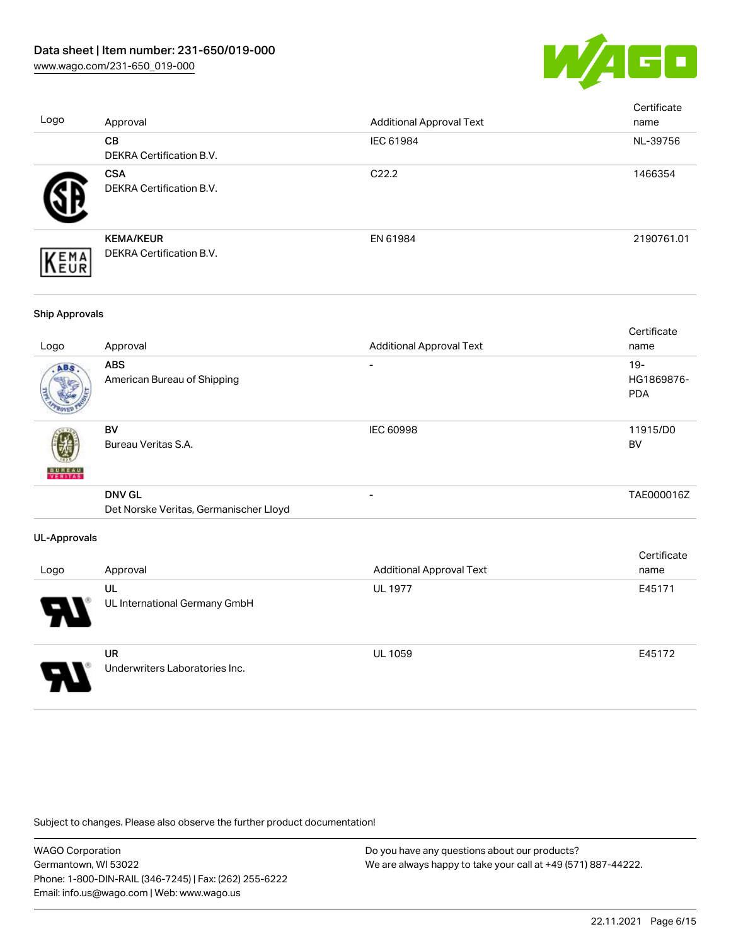

| Logo                  | Approval                                                | <b>Additional Approval Text</b> | Certificate<br>name                |
|-----------------------|---------------------------------------------------------|---------------------------------|------------------------------------|
|                       | CB<br>DEKRA Certification B.V.                          | IEC 61984                       | NL-39756                           |
|                       | <b>CSA</b><br>DEKRA Certification B.V.                  | C22.2                           | 1466354                            |
| EMA<br>EUR            | <b>KEMA/KEUR</b><br>DEKRA Certification B.V.            | EN 61984                        | 2190761.01                         |
| <b>Ship Approvals</b> |                                                         |                                 |                                    |
| Logo                  | Approval                                                | <b>Additional Approval Text</b> | Certificate<br>name                |
|                       | <b>ABS</b><br>American Bureau of Shipping               |                                 | $19 -$<br>HG1869876-<br><b>PDA</b> |
|                       | <b>BV</b><br>Bureau Veritas S.A.                        | IEC 60998                       | 11915/D0<br><b>BV</b>              |
|                       | <b>DNV GL</b><br>Det Norske Veritas, Germanischer Lloyd | $\overline{a}$                  | TAE000016Z                         |
| <b>UL-Approvals</b>   |                                                         |                                 |                                    |
| Logo                  | Approval                                                | <b>Additional Approval Text</b> | Certificate<br>name                |
|                       | UL<br>UL International Germany GmbH                     | <b>UL 1977</b>                  | E45171                             |
|                       | <b>UR</b><br>Underwriters Laboratories Inc.             | <b>UL 1059</b>                  | E45172                             |

Subject to changes. Please also observe the further product documentation!

WAGO Corporation Germantown, WI 53022 Phone: 1-800-DIN-RAIL (346-7245) | Fax: (262) 255-6222 Email: info.us@wago.com | Web: www.wago.us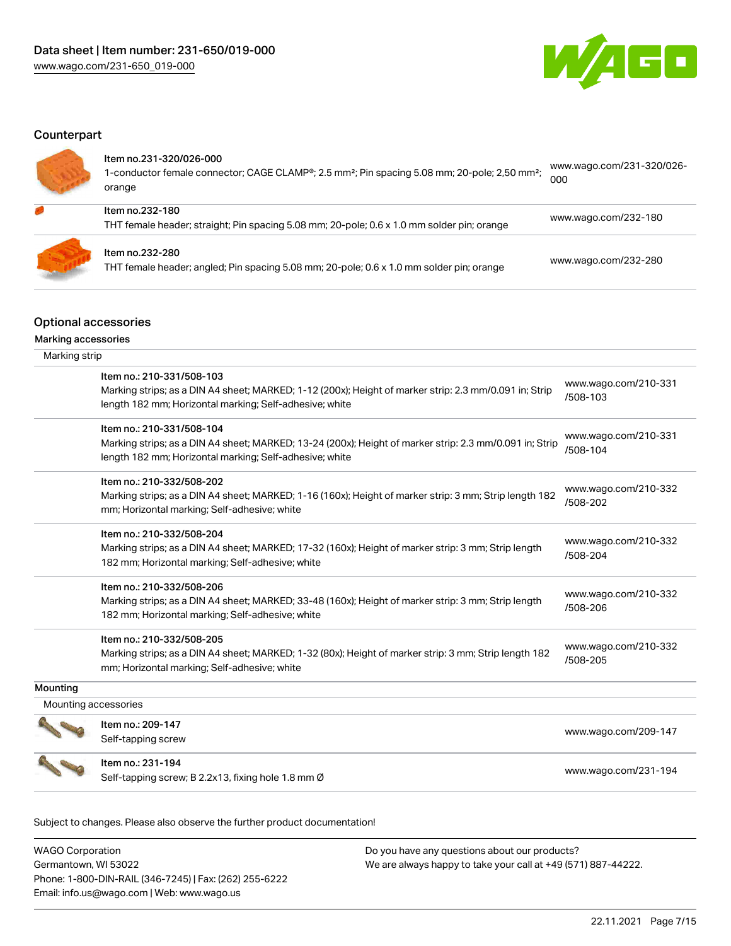

## **Counterpart**

| Item no.231-320/026-000<br>1-conductor female connector; CAGE CLAMP <sup>®</sup> ; 2.5 mm <sup>2</sup> ; Pin spacing 5.08 mm; 20-pole; 2,50 mm <sup>2</sup> ;<br>orange | www.wago.com/231-320/026-<br>000 |
|-------------------------------------------------------------------------------------------------------------------------------------------------------------------------|----------------------------------|
| Item no.232-180<br>THT female header; straight; Pin spacing 5.08 mm; 20-pole; 0.6 x 1.0 mm solder pin; orange                                                           | www.wago.com/232-180             |
| Item no.232-280<br>THT female header; angled; Pin spacing 5.08 mm; 20-pole; 0.6 x 1.0 mm solder pin; orange                                                             | www.wago.com/232-280             |

# Optional accessories

Marking accessories

| Marking strip        |                                                                                                                                                                                                 |                                  |
|----------------------|-------------------------------------------------------------------------------------------------------------------------------------------------------------------------------------------------|----------------------------------|
|                      | Item no.: 210-331/508-103<br>Marking strips; as a DIN A4 sheet; MARKED; 1-12 (200x); Height of marker strip: 2.3 mm/0.091 in; Strip<br>length 182 mm; Horizontal marking; Self-adhesive; white  | www.wago.com/210-331<br>/508-103 |
|                      | Item no.: 210-331/508-104<br>Marking strips; as a DIN A4 sheet; MARKED; 13-24 (200x); Height of marker strip: 2.3 mm/0.091 in; Strip<br>length 182 mm; Horizontal marking; Self-adhesive; white | www.wago.com/210-331<br>/508-104 |
|                      | Item no.: 210-332/508-202<br>Marking strips; as a DIN A4 sheet; MARKED; 1-16 (160x); Height of marker strip: 3 mm; Strip length 182<br>mm; Horizontal marking; Self-adhesive; white             | www.wago.com/210-332<br>/508-202 |
|                      | Item no.: 210-332/508-204<br>Marking strips; as a DIN A4 sheet; MARKED; 17-32 (160x); Height of marker strip: 3 mm; Strip length<br>182 mm; Horizontal marking; Self-adhesive; white            | www.wago.com/210-332<br>/508-204 |
|                      | Item no.: 210-332/508-206<br>Marking strips; as a DIN A4 sheet; MARKED; 33-48 (160x); Height of marker strip: 3 mm; Strip length<br>182 mm; Horizontal marking; Self-adhesive; white            | www.wago.com/210-332<br>/508-206 |
|                      | Item no.: 210-332/508-205<br>Marking strips; as a DIN A4 sheet; MARKED; 1-32 (80x); Height of marker strip: 3 mm; Strip length 182<br>mm; Horizontal marking; Self-adhesive; white              | www.wago.com/210-332<br>/508-205 |
| Mounting             |                                                                                                                                                                                                 |                                  |
| Mounting accessories |                                                                                                                                                                                                 |                                  |
|                      | Item no.: 209-147<br>Self-tapping screw                                                                                                                                                         | www.wago.com/209-147             |
|                      | Item no.: 231-194<br>Self-tapping screw; B 2.2x13, fixing hole 1.8 mm Ø                                                                                                                         | www.wago.com/231-194             |

Subject to changes. Please also observe the further product documentation!

| <b>WAGO Corporation</b>                                | Do you have any questions about our products?                 |
|--------------------------------------------------------|---------------------------------------------------------------|
| Germantown, WI 53022                                   | We are always happy to take your call at +49 (571) 887-44222. |
| Phone: 1-800-DIN-RAIL (346-7245)   Fax: (262) 255-6222 |                                                               |
| Email: info.us@wago.com   Web: www.wago.us             |                                                               |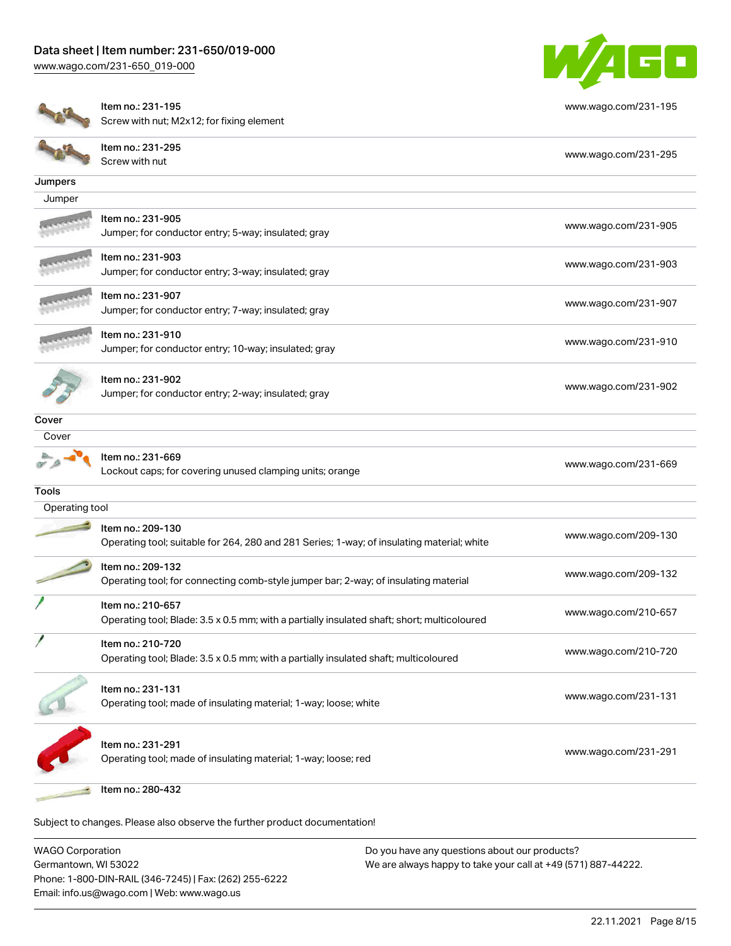

|                | Item no.: 231-195<br>Screw with nut; M2x12; for fixing element                                                   | www.wago.com/231-195 |
|----------------|------------------------------------------------------------------------------------------------------------------|----------------------|
|                | Item no.: 231-295<br>Screw with nut                                                                              | www.wago.com/231-295 |
| Jumpers        |                                                                                                                  |                      |
| Jumper         |                                                                                                                  |                      |
|                | Item no.: 231-905<br>Jumper; for conductor entry; 5-way; insulated; gray                                         | www.wago.com/231-905 |
|                | Item no.: 231-903<br>Jumper; for conductor entry; 3-way; insulated; gray                                         | www.wago.com/231-903 |
|                | Item no.: 231-907<br>Jumper; for conductor entry; 7-way; insulated; gray                                         | www.wago.com/231-907 |
|                | Item no.: 231-910<br>Jumper; for conductor entry; 10-way; insulated; gray                                        | www.wago.com/231-910 |
|                | Item no.: 231-902<br>Jumper; for conductor entry; 2-way; insulated; gray                                         | www.wago.com/231-902 |
| Cover          |                                                                                                                  |                      |
| Cover          |                                                                                                                  |                      |
|                | Item no.: 231-669<br>Lockout caps; for covering unused clamping units; orange                                    | www.wago.com/231-669 |
| <b>Tools</b>   |                                                                                                                  |                      |
| Operating tool |                                                                                                                  |                      |
|                | Item no.: 209-130<br>Operating tool; suitable for 264, 280 and 281 Series; 1-way; of insulating material; white  | www.wago.com/209-130 |
|                | Item no.: 209-132<br>Operating tool; for connecting comb-style jumper bar; 2-way; of insulating material         | www.wago.com/209-132 |
|                | Item no.: 210-657<br>Operating tool; Blade: 3.5 x 0.5 mm; with a partially insulated shaft; short; multicoloured | www.wago.com/210-657 |
|                | Item no.: 210-720<br>Operating tool; Blade: 3.5 x 0.5 mm; with a partially insulated shaft; multicoloured        | www.wago.com/210-720 |
|                | Item no.: 231-131<br>Operating tool; made of insulating material; 1-way; loose; white                            | www.wago.com/231-131 |
|                | Item no.: 231-291<br>Operating tool; made of insulating material; 1-way; loose; red                              | www.wago.com/231-291 |
|                | Item no.: 280-432                                                                                                |                      |

Subject to changes. Please also observe the further product documentation!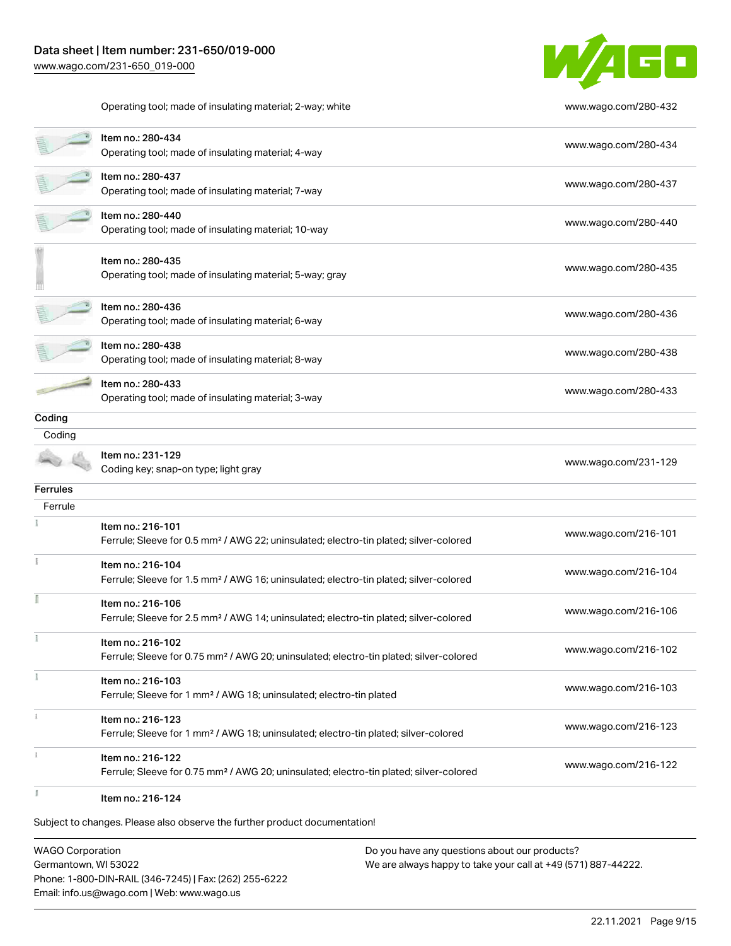

Operating tool; made of insulating material; 2-way; white [www.wago.com/280-432](http://www.wago.com/280-432)

|                 | Item no.: 280-434<br>Operating tool; made of insulating material; 4-way                                                 | www.wago.com/280-434 |
|-----------------|-------------------------------------------------------------------------------------------------------------------------|----------------------|
|                 | Item no.: 280-437<br>Operating tool; made of insulating material; 7-way                                                 | www.wago.com/280-437 |
|                 | Item no.: 280-440<br>Operating tool; made of insulating material; 10-way                                                | www.wago.com/280-440 |
|                 | Item no.: 280-435<br>Operating tool; made of insulating material; 5-way; gray                                           | www.wago.com/280-435 |
|                 | Item no.: 280-436<br>Operating tool; made of insulating material; 6-way                                                 | www.wago.com/280-436 |
|                 | Item no.: 280-438<br>Operating tool; made of insulating material; 8-way                                                 | www.wago.com/280-438 |
|                 | Item no.: 280-433<br>Operating tool; made of insulating material; 3-way                                                 | www.wago.com/280-433 |
| Coding          |                                                                                                                         |                      |
| Coding          |                                                                                                                         |                      |
|                 | Item no.: 231-129<br>Coding key; snap-on type; light gray                                                               | www.wago.com/231-129 |
| <b>Ferrules</b> |                                                                                                                         |                      |
| Ferrule         |                                                                                                                         |                      |
|                 | Item no.: 216-101<br>Ferrule; Sleeve for 0.5 mm <sup>2</sup> / AWG 22; uninsulated; electro-tin plated; silver-colored  | www.wago.com/216-101 |
| ÷               | Item no.: 216-104<br>Ferrule; Sleeve for 1.5 mm <sup>2</sup> / AWG 16; uninsulated; electro-tin plated; silver-colored  | www.wago.com/216-104 |
|                 | Item no.: 216-106<br>Ferrule; Sleeve for 2.5 mm <sup>2</sup> / AWG 14; uninsulated; electro-tin plated; silver-colored  | www.wago.com/216-106 |
|                 | Item no.: 216-102<br>Ferrule; Sleeve for 0.75 mm <sup>2</sup> / AWG 20; uninsulated; electro-tin plated; silver-colored | www.wago.com/216-102 |
|                 | Item no.: 216-103<br>Ferrule; Sleeve for 1 mm <sup>2</sup> / AWG 18; uninsulated; electro-tin plated                    | www.wago.com/216-103 |
|                 | Item no.: 216-123<br>Ferrule; Sleeve for 1 mm <sup>2</sup> / AWG 18; uninsulated; electro-tin plated; silver-colored    | www.wago.com/216-123 |
|                 | Item no.: 216-122<br>Ferrule; Sleeve for 0.75 mm <sup>2</sup> / AWG 20; uninsulated; electro-tin plated; silver-colored | www.wago.com/216-122 |
| E               | Item no.: 216-124                                                                                                       |                      |
|                 | Subject to changes. Please also observe the further product documentation!                                              |                      |

WAGO Corporation Germantown, WI 53022 Phone: 1-800-DIN-RAIL (346-7245) | Fax: (262) 255-6222 Email: info.us@wago.com | Web: www.wago.us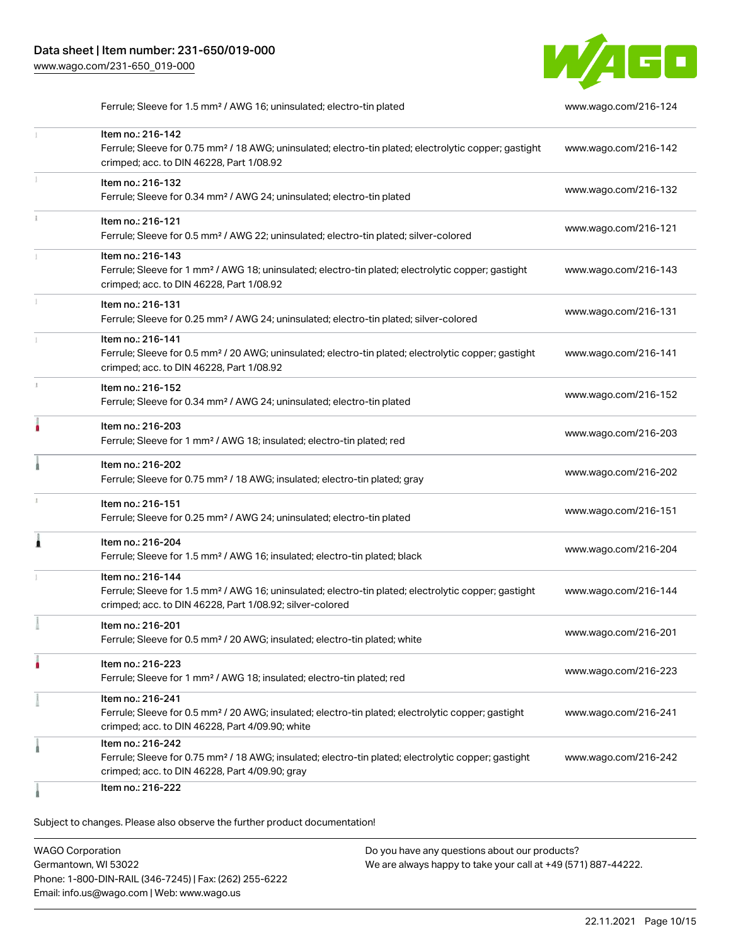

Ferrule; Sleeve for 1.5 mm² / AWG 16; uninsulated; electro-tin plated [www.wago.com/216-124](http://www.wago.com/216-124)

|   | Item no.: 216-142<br>Ferrule; Sleeve for 0.75 mm <sup>2</sup> / 18 AWG; uninsulated; electro-tin plated; electrolytic copper; gastight<br>crimped; acc. to DIN 46228, Part 1/08.92                | www.wago.com/216-142 |
|---|---------------------------------------------------------------------------------------------------------------------------------------------------------------------------------------------------|----------------------|
|   | Item no.: 216-132<br>Ferrule; Sleeve for 0.34 mm <sup>2</sup> / AWG 24; uninsulated; electro-tin plated                                                                                           | www.wago.com/216-132 |
|   | Item no.: 216-121<br>Ferrule; Sleeve for 0.5 mm <sup>2</sup> / AWG 22; uninsulated; electro-tin plated; silver-colored                                                                            | www.wago.com/216-121 |
|   | Item no.: 216-143<br>Ferrule; Sleeve for 1 mm <sup>2</sup> / AWG 18; uninsulated; electro-tin plated; electrolytic copper; gastight<br>crimped; acc. to DIN 46228, Part 1/08.92                   | www.wago.com/216-143 |
|   | Item no.: 216-131<br>Ferrule; Sleeve for 0.25 mm <sup>2</sup> / AWG 24; uninsulated; electro-tin plated; silver-colored                                                                           | www.wago.com/216-131 |
|   | Item no.: 216-141<br>Ferrule; Sleeve for 0.5 mm <sup>2</sup> / 20 AWG; uninsulated; electro-tin plated; electrolytic copper; gastight<br>crimped; acc. to DIN 46228, Part 1/08.92                 | www.wago.com/216-141 |
|   | Item no.: 216-152<br>Ferrule; Sleeve for 0.34 mm <sup>2</sup> / AWG 24; uninsulated; electro-tin plated                                                                                           | www.wago.com/216-152 |
|   | Item no.: 216-203<br>Ferrule; Sleeve for 1 mm <sup>2</sup> / AWG 18; insulated; electro-tin plated; red                                                                                           | www.wago.com/216-203 |
|   | Item no.: 216-202<br>Ferrule; Sleeve for 0.75 mm <sup>2</sup> / 18 AWG; insulated; electro-tin plated; gray                                                                                       | www.wago.com/216-202 |
|   | Item no.: 216-151<br>Ferrule; Sleeve for 0.25 mm <sup>2</sup> / AWG 24; uninsulated; electro-tin plated                                                                                           | www.wago.com/216-151 |
| Â | Item no.: 216-204<br>Ferrule; Sleeve for 1.5 mm <sup>2</sup> / AWG 16; insulated; electro-tin plated; black                                                                                       | www.wago.com/216-204 |
|   | Item no.: 216-144<br>Ferrule; Sleeve for 1.5 mm <sup>2</sup> / AWG 16; uninsulated; electro-tin plated; electrolytic copper; gastight<br>crimped; acc. to DIN 46228, Part 1/08.92; silver-colored | www.wago.com/216-144 |
|   | Item no.: 216-201<br>Ferrule; Sleeve for 0.5 mm <sup>2</sup> / 20 AWG; insulated; electro-tin plated; white                                                                                       | www.wago.com/216-201 |
|   | Item no.: 216-223<br>Ferrule; Sleeve for 1 mm <sup>2</sup> / AWG 18; insulated; electro-tin plated; red                                                                                           | www.wago.com/216-223 |
|   | Item no.: 216-241<br>Ferrule; Sleeve for 0.5 mm <sup>2</sup> / 20 AWG; insulated; electro-tin plated; electrolytic copper; gastight<br>crimped; acc. to DIN 46228, Part 4/09.90; white            | www.wago.com/216-241 |
|   | Item no.: 216-242<br>Ferrule; Sleeve for 0.75 mm <sup>2</sup> / 18 AWG; insulated; electro-tin plated; electrolytic copper; gastight<br>crimped; acc. to DIN 46228, Part 4/09.90; gray            | www.wago.com/216-242 |
|   | Item no.: 216-222                                                                                                                                                                                 |                      |

Subject to changes. Please also observe the further product documentation!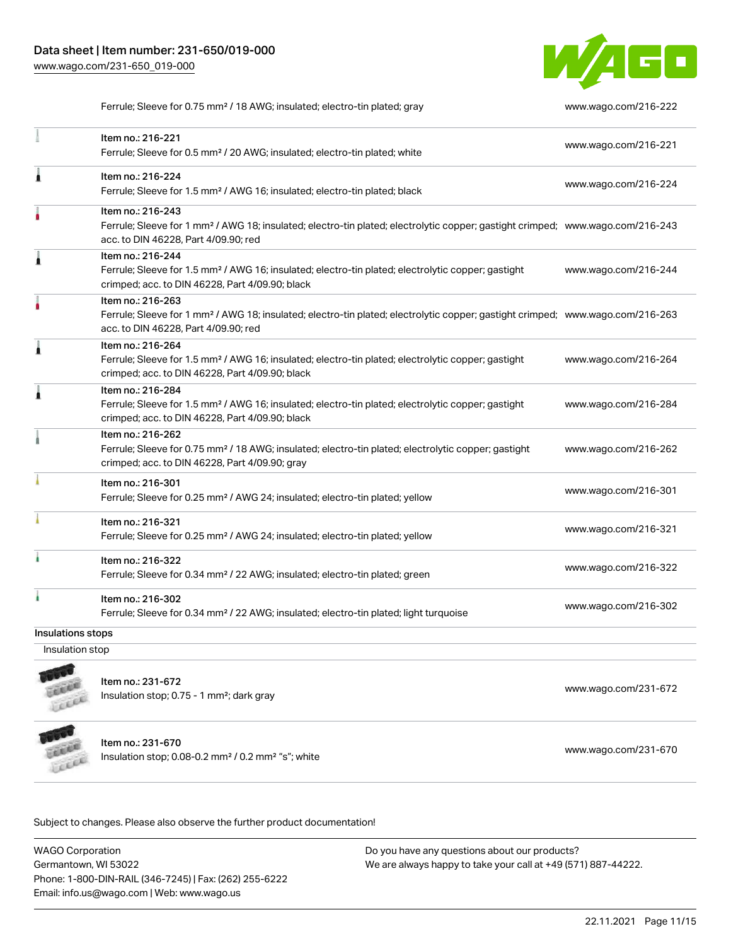

Ferrule; Sleeve for 0.75 mm² / 18 AWG; insulated; electro-tin plated; gray [www.wago.com/216-222](http://www.wago.com/216-222)

|                   | Item no.: 216-221<br>Ferrule; Sleeve for 0.5 mm <sup>2</sup> / 20 AWG; insulated; electro-tin plated; white                                                                                             | www.wago.com/216-221 |
|-------------------|---------------------------------------------------------------------------------------------------------------------------------------------------------------------------------------------------------|----------------------|
| Â                 | Item no.: 216-224<br>Ferrule; Sleeve for 1.5 mm <sup>2</sup> / AWG 16; insulated; electro-tin plated; black                                                                                             | www.wago.com/216-224 |
|                   | Item no.: 216-243<br>Ferrule; Sleeve for 1 mm <sup>2</sup> / AWG 18; insulated; electro-tin plated; electrolytic copper; gastight crimped; www.wago.com/216-243<br>acc. to DIN 46228, Part 4/09.90; red |                      |
| Ă                 | Item no.: 216-244<br>Ferrule; Sleeve for 1.5 mm <sup>2</sup> / AWG 16; insulated; electro-tin plated; electrolytic copper; gastight<br>crimped; acc. to DIN 46228, Part 4/09.90; black                  | www.wago.com/216-244 |
|                   | Item no.: 216-263<br>Ferrule; Sleeve for 1 mm <sup>2</sup> / AWG 18; insulated; electro-tin plated; electrolytic copper; gastight crimped; www.wago.com/216-263<br>acc. to DIN 46228, Part 4/09.90; red |                      |
| Â                 | Item no.: 216-264<br>Ferrule; Sleeve for 1.5 mm <sup>2</sup> / AWG 16; insulated; electro-tin plated; electrolytic copper; gastight<br>crimped; acc. to DIN 46228, Part 4/09.90; black                  | www.wago.com/216-264 |
| Â                 | Item no.: 216-284<br>Ferrule; Sleeve for 1.5 mm <sup>2</sup> / AWG 16; insulated; electro-tin plated; electrolytic copper; gastight<br>crimped; acc. to DIN 46228, Part 4/09.90; black                  | www.wago.com/216-284 |
|                   | Item no.: 216-262<br>Ferrule; Sleeve for 0.75 mm <sup>2</sup> / 18 AWG; insulated; electro-tin plated; electrolytic copper; gastight<br>crimped; acc. to DIN 46228, Part 4/09.90; gray                  | www.wago.com/216-262 |
|                   | Item no.: 216-301<br>Ferrule; Sleeve for 0.25 mm <sup>2</sup> / AWG 24; insulated; electro-tin plated; yellow                                                                                           | www.wago.com/216-301 |
|                   | Item no.: 216-321<br>Ferrule; Sleeve for 0.25 mm <sup>2</sup> / AWG 24; insulated; electro-tin plated; yellow                                                                                           | www.wago.com/216-321 |
| ۸                 | Item no.: 216-322<br>Ferrule; Sleeve for 0.34 mm <sup>2</sup> / 22 AWG; insulated; electro-tin plated; green                                                                                            | www.wago.com/216-322 |
|                   | Item no.: 216-302<br>Ferrule; Sleeve for 0.34 mm <sup>2</sup> / 22 AWG; insulated; electro-tin plated; light turquoise                                                                                  | www.wago.com/216-302 |
| Insulations stops |                                                                                                                                                                                                         |                      |
|                   |                                                                                                                                                                                                         |                      |

Insulation stop



Item no.: 231-672 Insulation stop; 0.75 - 1 mm²; dark gray [www.wago.com/231-672](http://www.wago.com/231-672)



Item no.: 231-670

Insulation stop; 0.08-0.2 mm<sup>2</sup> / 0.2 mm<sup>2</sup> "s"; white [www.wago.com/231-670](http://www.wago.com/231-670) www.wago.com/231-670

Subject to changes. Please also observe the further product documentation!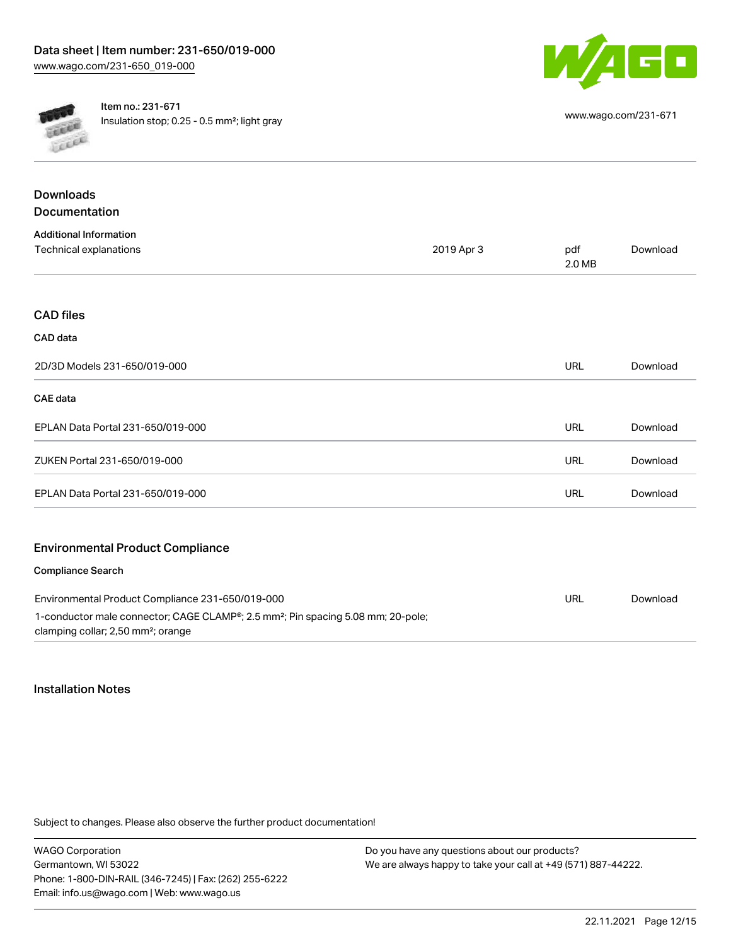



Item no.: 231-671 Insulation stop; 0.25 - 0.5 mm²; light gray [www.wago.com/231-671](http://www.wago.com/231-671)

| <b>Downloads</b><br>Documentation                       |            |               |          |
|---------------------------------------------------------|------------|---------------|----------|
|                                                         |            |               |          |
| <b>Additional Information</b><br>Technical explanations | 2019 Apr 3 | pdf<br>2.0 MB | Download |
| <b>CAD files</b>                                        |            |               |          |
| CAD data                                                |            |               |          |
| 2D/3D Models 231-650/019-000                            |            | URL           | Download |
| <b>CAE</b> data                                         |            |               |          |
| EPLAN Data Portal 231-650/019-000                       |            | URL           | Download |
| ZUKEN Portal 231-650/019-000                            |            | <b>URL</b>    | Download |
| EPLAN Data Portal 231-650/019-000                       |            | URL           | Download |
| <b>Environmental Product Compliance</b>                 |            |               |          |
| <b>Compliance Search</b>                                |            |               |          |
| Environmental Product Compliance 231-650/019-000        |            | URL           | Download |

| Environmental Product Compliance 231-650/019-000                                             | URL | Download |
|----------------------------------------------------------------------------------------------|-----|----------|
| 1-conductor male connector; CAGE CLAMP®; 2.5 mm <sup>2</sup> ; Pin spacing 5.08 mm; 20-pole; |     |          |
| clamping collar; 2,50 mm <sup>2</sup> ; orange                                               |     |          |

## Installation Notes

Subject to changes. Please also observe the further product documentation!

WAGO Corporation Germantown, WI 53022 Phone: 1-800-DIN-RAIL (346-7245) | Fax: (262) 255-6222 Email: info.us@wago.com | Web: www.wago.us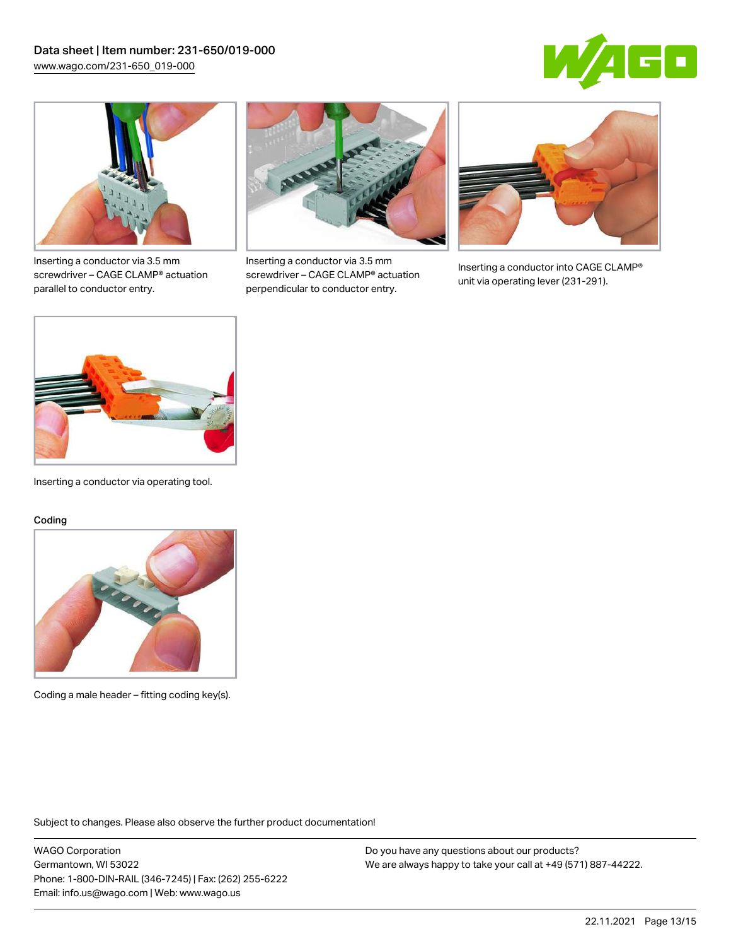



Inserting a conductor via 3.5 mm screwdriver – CAGE CLAMP® actuation parallel to conductor entry.



Inserting a conductor via 3.5 mm screwdriver – CAGE CLAMP® actuation perpendicular to conductor entry.



Inserting a conductor into CAGE CLAMP® unit via operating lever (231-291).



Inserting a conductor via operating tool.

#### Coding



Coding a male header – fitting coding key(s).

Subject to changes. Please also observe the further product documentation!

WAGO Corporation Germantown, WI 53022 Phone: 1-800-DIN-RAIL (346-7245) | Fax: (262) 255-6222 Email: info.us@wago.com | Web: www.wago.us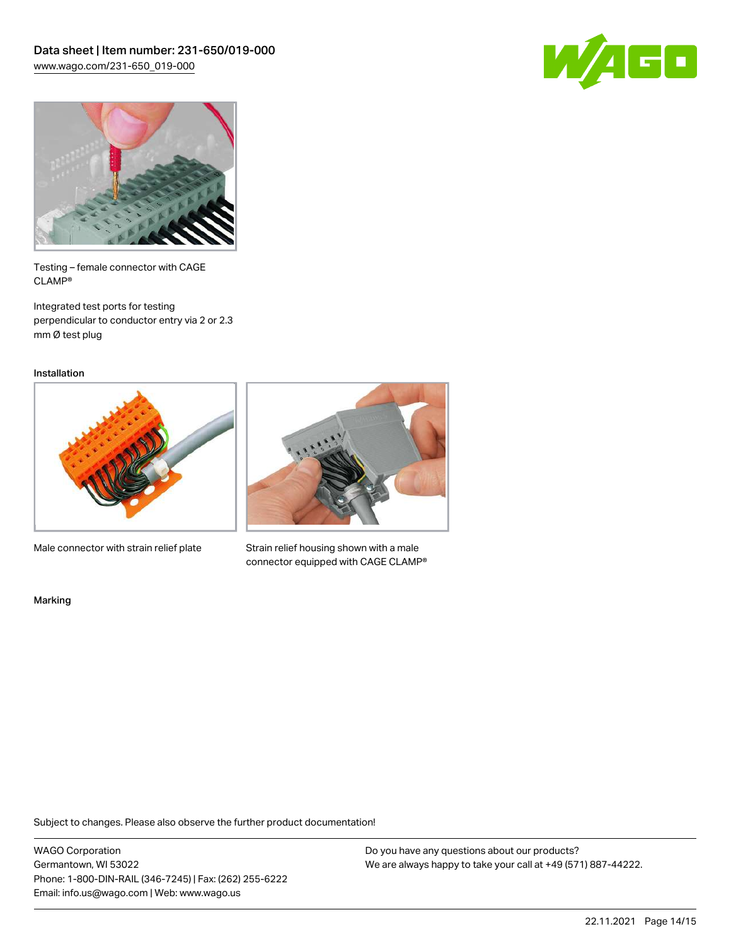



Testing – female connector with CAGE CLAMP®

Integrated test ports for testing perpendicular to conductor entry via 2 or 2.3 mm Ø test plug

Installation



Male connector with strain relief plate



Strain relief housing shown with a male connector equipped with CAGE CLAMP®

Marking

Subject to changes. Please also observe the further product documentation!

WAGO Corporation Germantown, WI 53022 Phone: 1-800-DIN-RAIL (346-7245) | Fax: (262) 255-6222 Email: info.us@wago.com | Web: www.wago.us